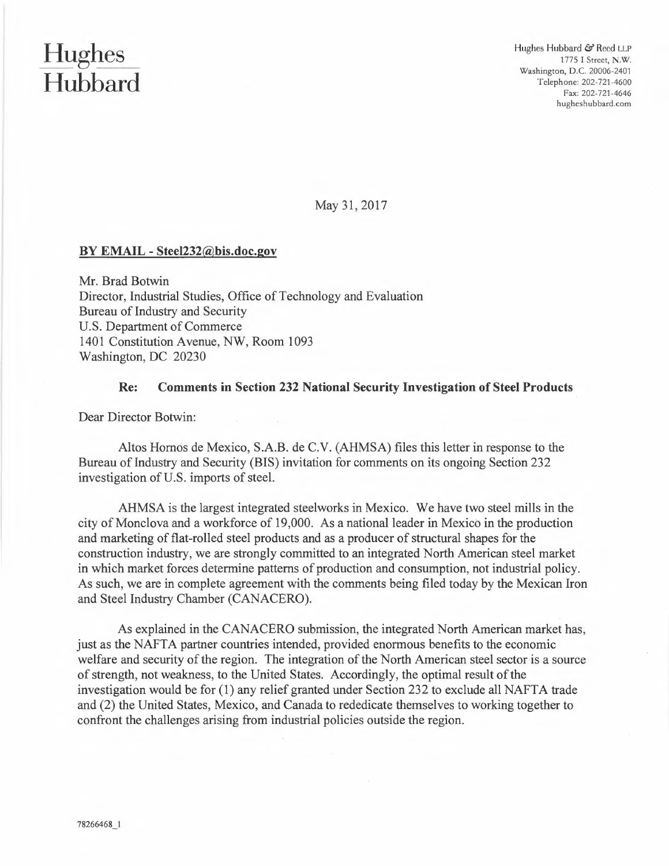## **Hughes Hubbard**

Hughes Hubbard & Reed LLP 1775 I Street, N.W. Washington, D.C. 20006-2401 Telephone: 202-721-4600 Fax: 202-721-4646 hugheshubbard.com

May 31, 2017

## **BY EMAIL - Steel232@bis.doc.gov**

Mr. Brad Botwin Director, Industrial Studies, Office of Technology and Evaluation Bureau of Industry and Security U.S. Department of Commerce 1401 Constitution Avenue, NW, Room 1093 Washington, DC 20230

## **Re: Comments in Section 232 National Security Investigation of Steel Products**

Dear Director Botwin:

Altos Homos de Mexico, S.A.B. de C.V. (AHMSA) files this letter in response to the Bureau of Industry and Security (BIS) invitation for comments on its ongoing Section 232 investigation of U.S. imports of steel.

AHMSA is the largest integrated steelworks in Mexico. We have two steel mills in the city of Monclova and a workforce of 19,000. As a national leader in Mexico in the production and marketing of flat-rolled steel products and as a producer of structural shapes for the construction industry, we are strongly committed to an integrated North American steel market in which market forces determine patterns of production and consumption, not industrial policy. As such, we are in complete agreement with the comments being filed today by the Mexican Iron and Steel Industry Chamber (CANACERO).

As explained in the CANACERO submission, the integrated North American market has, just as the NAFTA partner countries intended, provided enormous benefits to the economic welfare and security of the region. The integration of the North American steel sector is a source of strength, not weakness, to the United States. Accordingly, the optimal result of the investigation would be for **(1)** any relief granted under Section 232 to exclude all NAFTA trade and (2) the United States, Mexico, and Canada to rededicate themselves to working together to confront the challenges arising from industrial policies outside the region.